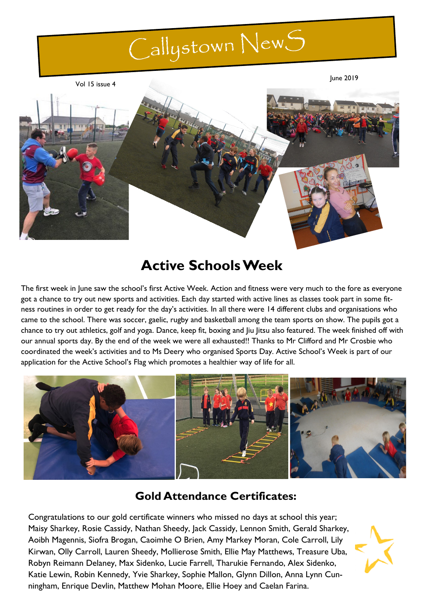# Callystown New S

Vol 15 issue 4

June 2019



## **Active Schools Week**

The first week in June saw the school's first Active Week. Action and fitness were very much to the fore as everyone got a chance to try out new sports and activities. Each day started with active lines as classes took part in some fitness routines in order to get ready for the day's activities. In all there were 14 different clubs and organisations who came to the school. There was soccer, gaelic, rugby and basketball among the team sports on show. The pupils got a chance to try out athletics, golf and yoga. Dance, keep fit, boxing and Jiu Jitsu also featured. The week finished off with our annual sports day. By the end of the week we were all exhausted!! Thanks to Mr Clifford and Mr Crosbie who coordinated the week's activities and to Ms Deery who organised Sports Day. Active School's Week is part of our application for the Active School's Flag which promotes a healthier way of life for all.



## **Gold Attendance Certificates:**

Congratulations to our gold certificate winners who missed no days at school this year; Maisy Sharkey, Rosie Cassidy, Nathan Sheedy, Jack Cassidy, Lennon Smith, Gerald Sharkey, Aoibh Magennis, Siofra Brogan, Caoimhe O Brien, Amy Markey Moran, Cole Carroll, Lily Kirwan, Olly Carroll, Lauren Sheedy, Mollierose Smith, Ellie May Matthews, Treasure Uba, Robyn Reimann Delaney, Max Sidenko, Lucie Farrell, Tharukie Fernando, Alex Sidenko, Katie Lewin, Robin Kennedy, Yvie Sharkey, Sophie Mallon, Glynn Dillon, Anna Lynn Cunningham, Enrique Devlin, Matthew Mohan Moore, Ellie Hoey and Caelan Farina.